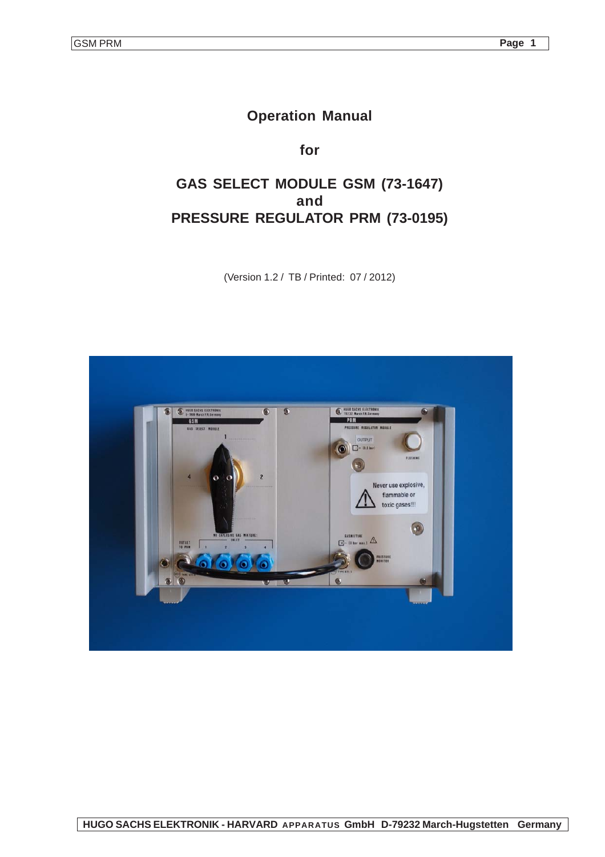# **Operation Manual**

**for**

# **GAS SELECT MODULE GSM (73-1647) and PRESSURE REGULATOR PRM (73-0195)**

(Version 1.2 / TB / Printed: 07 / 2012)

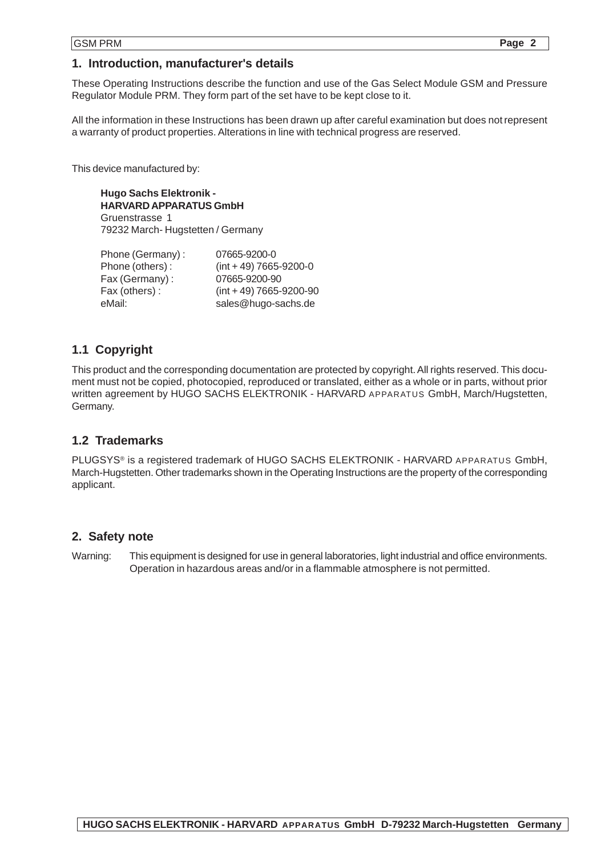### **1. Introduction, manufacturer's details**

These Operating Instructions describe the function and use of the Gas Select Module GSM and Pressure Regulator Module PRM. They form part of the set have to be kept close to it.

All the information in these Instructions has been drawn up after careful examination but does not represent a warranty of product properties. Alterations in line with technical progress are reserved.

This device manufactured by:

**Hugo Sachs Elektronik - HARVARD APPARATUS GmbH** Gruenstrasse 1 79232 March- Hugstetten / Germany

| Phone (Germany): | 07665-9200-0                 |
|------------------|------------------------------|
| Phone (others):  | $(int + 49) 7665 - 9200 - 0$ |
| Fax (Germany):   | 07665-9200-90                |
| Fax (others):    | $(int + 49)$ 7665-9200-90    |
| eMail:           | sales@hugo-sachs.de          |

## **1.1 Copyright**

This product and the corresponding documentation are protected by copyright. All rights reserved. This document must not be copied, photocopied, reproduced or translated, either as a whole or in parts, without prior written agreement by HUGO SACHS ELEKTRONIK - HARVARD APPARATUS GmbH, March/Hugstetten, Germany.

## **1.2 Trademarks**

PLUGSYS® is a registered trademark of HUGO SACHS ELEKTRONIK - HARVARD APPARATUS GmbH, March-Hugstetten. Other trademarks shown in the Operating Instructions are the property of the corresponding applicant.

### **2. Safety note**

Warning: This equipment is designed for use in general laboratories, light industrial and office environments. Operation in hazardous areas and/or in a flammable atmosphere is not permitted.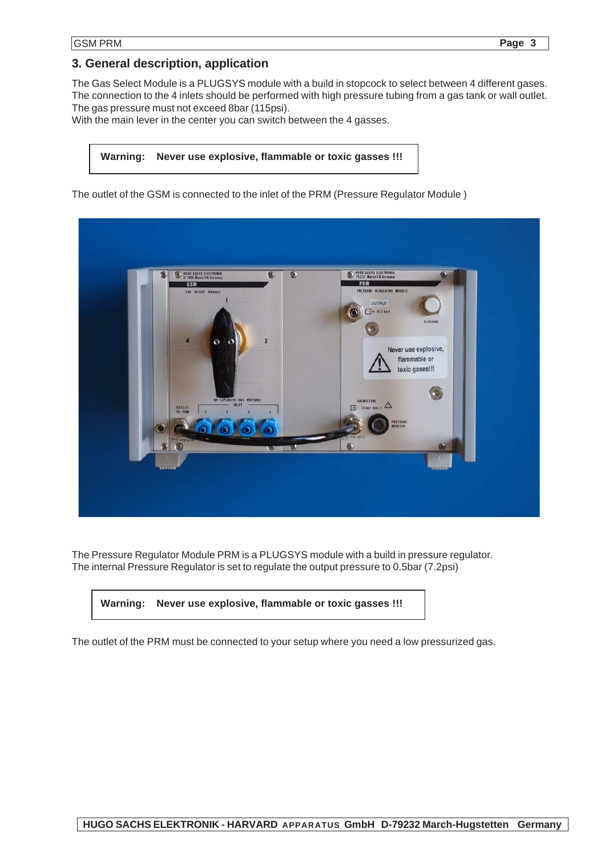## **3. General description, application**

The Gas Select Module is a PLUGSYS module with a build in stopcock to select between 4 different gases. The connection to the 4 inlets should be performed with high pressure tubing from a gas tank or wall outlet. The gas pressure must not exceed 8bar (115psi).

With the main lever in the center you can switch between the 4 gasses.

#### **Warning: Never use explosive, flammable or toxic gasses !!!**

The outlet of the GSM is connected to the inlet of the PRM (Pressure Regulator Module )



The Pressure Regulator Module PRM is a PLUGSYS module with a build in pressure regulator. The internal Pressure Regulator is set to regulate the output pressure to 0.5bar (7.2psi)

| Warning: Never use explosive, flammable or toxic gasses !!! |
|-------------------------------------------------------------|
|                                                             |

The outlet of the PRM must be connected to your setup where you need a low pressurized gas.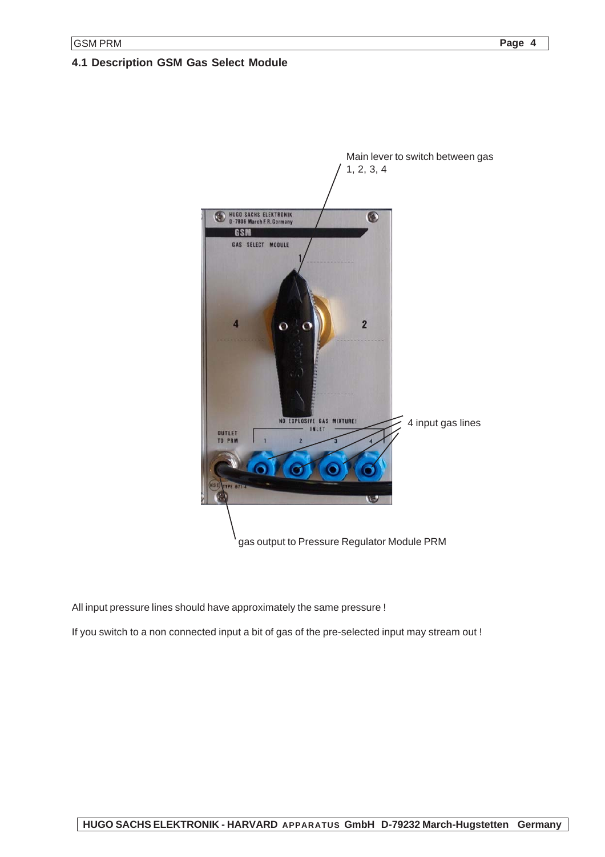### **4.1 Description GSM Gas Select Module**



All input pressure lines should have approximately the same pressure !

If you switch to a non connected input a bit of gas of the pre-selected input may stream out !